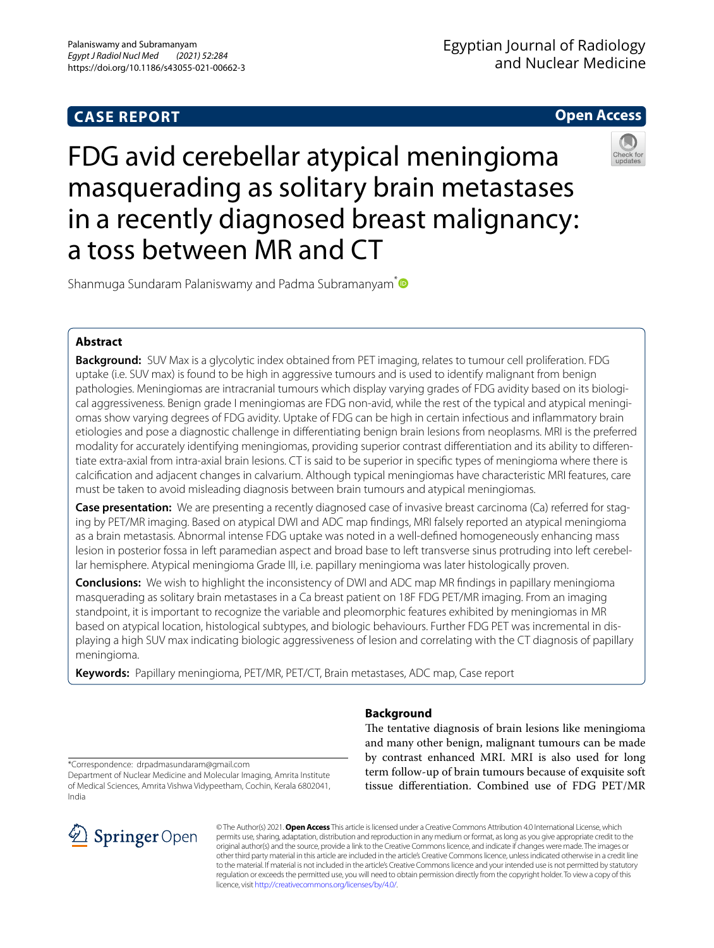# **CASE REPORT**

# **Open Access**



FDG avid cerebellar atypical meningioma masquerading as solitary brain metastases in a recently diagnosed breast malignancy: a toss between MR and CT

Shanmuga Sundaram Palaniswamy and Padma Subramanyam<sup>[\\*](http://orcid.org/0000-0003-3550-1756)</sup>

### **Abstract**

**Background:** SUV Max is a glycolytic index obtained from PET imaging, relates to tumour cell proliferation. FDG uptake (i.e. SUV max) is found to be high in aggressive tumours and is used to identify malignant from benign pathologies. Meningiomas are intracranial tumours which display varying grades of FDG avidity based on its biological aggressiveness. Benign grade I meningiomas are FDG non-avid, while the rest of the typical and atypical meningiomas show varying degrees of FDG avidity. Uptake of FDG can be high in certain infectious and infammatory brain etiologies and pose a diagnostic challenge in diferentiating benign brain lesions from neoplasms. MRI is the preferred modality for accurately identifying meningiomas, providing superior contrast diferentiation and its ability to diferentiate extra-axial from intra-axial brain lesions. CT is said to be superior in specifc types of meningioma where there is calcifcation and adjacent changes in calvarium. Although typical meningiomas have characteristic MRI features, care must be taken to avoid misleading diagnosis between brain tumours and atypical meningiomas.

**Case presentation:** We are presenting a recently diagnosed case of invasive breast carcinoma (Ca) referred for staging by PET/MR imaging. Based on atypical DWI and ADC map fndings, MRI falsely reported an atypical meningioma as a brain metastasis. Abnormal intense FDG uptake was noted in a well-defned homogeneously enhancing mass lesion in posterior fossa in left paramedian aspect and broad base to left transverse sinus protruding into left cerebellar hemisphere. Atypical meningioma Grade III, i.e. papillary meningioma was later histologically proven.

**Conclusions:** We wish to highlight the inconsistency of DWI and ADC map MR fndings in papillary meningioma masquerading as solitary brain metastases in a Ca breast patient on 18F FDG PET/MR imaging. From an imaging standpoint, it is important to recognize the variable and pleomorphic features exhibited by meningiomas in MR based on atypical location, histological subtypes, and biologic behaviours. Further FDG PET was incremental in displaying a high SUV max indicating biologic aggressiveness of lesion and correlating with the CT diagnosis of papillary meningioma.

**Keywords:** Papillary meningioma, PET/MR, PET/CT, Brain metastases, ADC map, Case report

# **Background**

The tentative diagnosis of brain lesions like meningioma and many other benign, malignant tumours can be made by contrast enhanced MRI. MRI is also used for long term follow-up of brain tumours because of exquisite soft tissue diferentiation. Combined use of FDG PET/MR

\*Correspondence: drpadmasundaram@gmail.com

Department of Nuclear Medicine and Molecular Imaging, Amrita Institute of Medical Sciences, Amrita Vishwa Vidypeetham, Cochin, Kerala 6802041, India



© The Author(s) 2021. **Open Access** This article is licensed under a Creative Commons Attribution 4.0 International License, which permits use, sharing, adaptation, distribution and reproduction in any medium or format, as long as you give appropriate credit to the original author(s) and the source, provide a link to the Creative Commons licence, and indicate if changes were made. The images or other third party material in this article are included in the article's Creative Commons licence, unless indicated otherwise in a credit line to the material. If material is not included in the article's Creative Commons licence and your intended use is not permitted by statutory regulation or exceeds the permitted use, you will need to obtain permission directly from the copyright holder. To view a copy of this licence, visit [http://creativecommons.org/licenses/by/4.0/.](http://creativecommons.org/licenses/by/4.0/)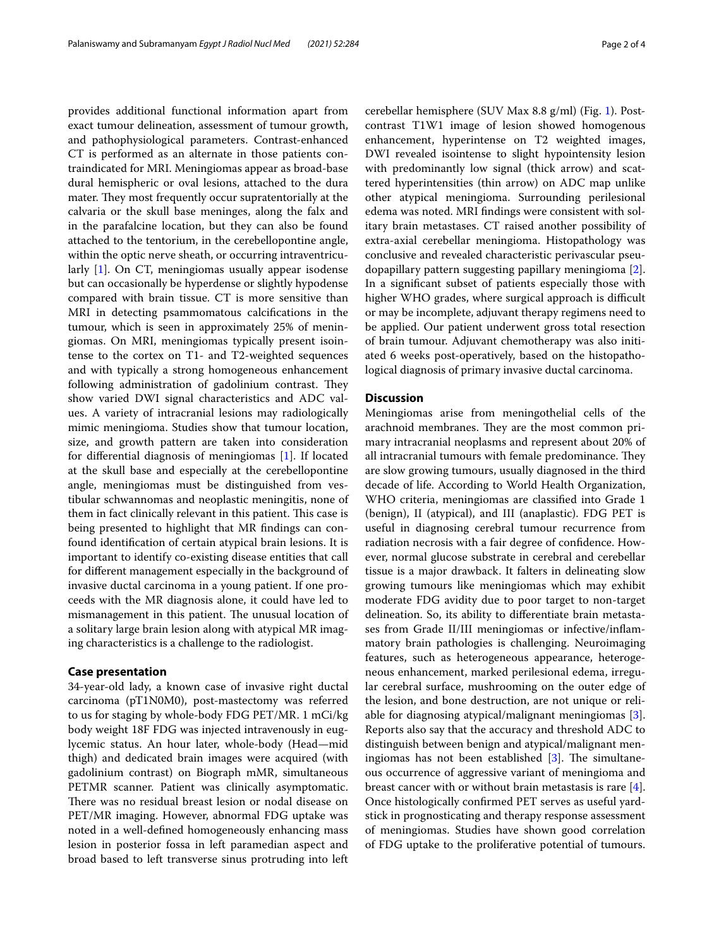provides additional functional information apart from exact tumour delineation, assessment of tumour growth, and pathophysiological parameters. Contrast-enhanced CT is performed as an alternate in those patients contraindicated for MRI. Meningiomas appear as broad-base dural hemispheric or oval lesions, attached to the dura mater. They most frequently occur supratentorially at the calvaria or the skull base meninges, along the falx and in the parafalcine location, but they can also be found attached to the tentorium, in the cerebellopontine angle, within the optic nerve sheath, or occurring intraventricularly [[1\]](#page-3-0). On CT, meningiomas usually appear isodense but can occasionally be hyperdense or slightly hypodense compared with brain tissue. CT is more sensitive than MRI in detecting psammomatous calcifcations in the tumour, which is seen in approximately 25% of meningiomas. On MRI, meningiomas typically present isointense to the cortex on T1- and T2-weighted sequences and with typically a strong homogeneous enhancement following administration of gadolinium contrast. They show varied DWI signal characteristics and ADC values. A variety of intracranial lesions may radiologically mimic meningioma. Studies show that tumour location, size, and growth pattern are taken into consideration for diferential diagnosis of meningiomas [[1\]](#page-3-0). If located at the skull base and especially at the cerebellopontine angle, meningiomas must be distinguished from vestibular schwannomas and neoplastic meningitis, none of them in fact clinically relevant in this patient. This case is being presented to highlight that MR fndings can confound identifcation of certain atypical brain lesions. It is important to identify co-existing disease entities that call for diferent management especially in the background of invasive ductal carcinoma in a young patient. If one proceeds with the MR diagnosis alone, it could have led to mismanagement in this patient. The unusual location of a solitary large brain lesion along with atypical MR imaging characteristics is a challenge to the radiologist.

### **Case presentation**

34-year-old lady, a known case of invasive right ductal carcinoma (pT1N0M0), post-mastectomy was referred to us for staging by whole-body FDG PET/MR. 1 mCi/kg body weight 18F FDG was injected intravenously in euglycemic status. An hour later, whole-body (Head—mid thigh) and dedicated brain images were acquired (with gadolinium contrast) on Biograph mMR, simultaneous PETMR scanner. Patient was clinically asymptomatic. There was no residual breast lesion or nodal disease on PET/MR imaging. However, abnormal FDG uptake was noted in a well-defned homogeneously enhancing mass lesion in posterior fossa in left paramedian aspect and broad based to left transverse sinus protruding into left cerebellar hemisphere (SUV Max 8.8 g/ml) (Fig. [1\)](#page-2-0). Postcontrast T1W1 image of lesion showed homogenous enhancement, hyperintense on T2 weighted images, DWI revealed isointense to slight hypointensity lesion with predominantly low signal (thick arrow) and scattered hyperintensities (thin arrow) on ADC map unlike other atypical meningioma. Surrounding perilesional edema was noted. MRI fndings were consistent with solitary brain metastases. CT raised another possibility of extra-axial cerebellar meningioma. Histopathology was conclusive and revealed characteristic perivascular pseudopapillary pattern suggesting papillary meningioma [\[2](#page-3-1)]. In a signifcant subset of patients especially those with higher WHO grades, where surgical approach is difficult or may be incomplete, adjuvant therapy regimens need to be applied. Our patient underwent gross total resection of brain tumour. Adjuvant chemotherapy was also initiated 6 weeks post-operatively, based on the histopathological diagnosis of primary invasive ductal carcinoma.

### **Discussion**

Meningiomas arise from meningothelial cells of the arachnoid membranes. They are the most common primary intracranial neoplasms and represent about 20% of all intracranial tumours with female predominance. They are slow growing tumours, usually diagnosed in the third decade of life. According to World Health Organization, WHO criteria, meningiomas are classifed into Grade 1 (benign), II (atypical), and III (anaplastic). FDG PET is useful in diagnosing cerebral tumour recurrence from radiation necrosis with a fair degree of confdence. However, normal glucose substrate in cerebral and cerebellar tissue is a major drawback. It falters in delineating slow growing tumours like meningiomas which may exhibit moderate FDG avidity due to poor target to non-target delineation. So, its ability to diferentiate brain metastases from Grade II/III meningiomas or infective/infammatory brain pathologies is challenging. Neuroimaging features, such as heterogeneous appearance, heterogeneous enhancement, marked perilesional edema, irregular cerebral surface, mushrooming on the outer edge of the lesion, and bone destruction, are not unique or reliable for diagnosing atypical/malignant meningiomas [\[3](#page-3-2)]. Reports also say that the accuracy and threshold ADC to distinguish between benign and atypical/malignant meningiomas has not been established  $[3]$  $[3]$ . The simultaneous occurrence of aggressive variant of meningioma and breast cancer with or without brain metastasis is rare [\[4](#page-3-3)]. Once histologically confrmed PET serves as useful yardstick in prognosticating and therapy response assessment of meningiomas. Studies have shown good correlation of FDG uptake to the proliferative potential of tumours.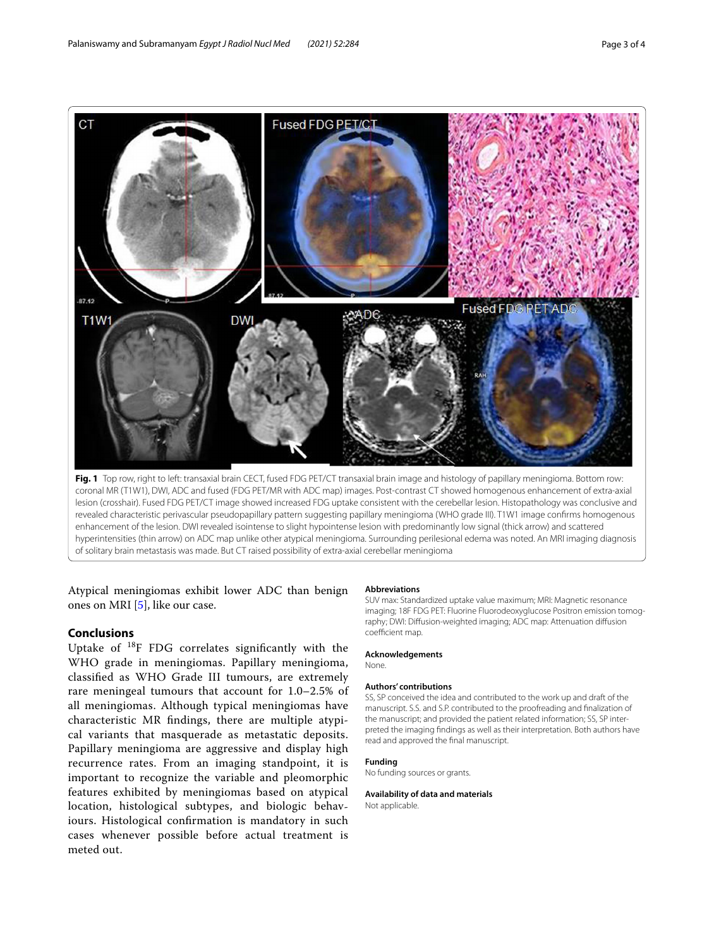

<span id="page-2-0"></span>revealed characteristic perivascular pseudopapillary pattern suggesting papillary meningioma (WHO grade III). T1W1 image confirms homogenous enhancement of the lesion. DWI revealed isointense to slight hypointense lesion with predominantly low signal (thick arrow) and scattered hyperintensities (thin arrow) on ADC map unlike other atypical meningioma. Surrounding perilesional edema was noted. An MRI imaging diagnosis of solitary brain metastasis was made. But CT raised possibility of extra-axial cerebellar meningioma

Atypical meningiomas exhibit lower ADC than benign ones on MRI [[5\]](#page-3-4), like our case.

### **Conclusions**

Uptake of 18F FDG correlates signifcantly with the WHO grade in meningiomas. Papillary meningioma, classifed as WHO Grade III tumours, are extremely rare meningeal tumours that account for 1.0–2.5% of all meningiomas. Although typical meningiomas have characteristic MR fndings, there are multiple atypical variants that masquerade as metastatic deposits. Papillary meningioma are aggressive and display high recurrence rates. From an imaging standpoint, it is important to recognize the variable and pleomorphic features exhibited by meningiomas based on atypical location, histological subtypes, and biologic behaviours. Histological confrmation is mandatory in such cases whenever possible before actual treatment is meted out.

#### **Abbreviations**

SUV max: Standardized uptake value maximum; MRI: Magnetic resonance imaging; 18F FDG PET: Fluorine Fluorodeoxyglucose Positron emission tomography; DWI: Difusion-weighted imaging; ADC map: Attenuation difusion coefficient map.

#### **Acknowledgements**

None.

#### **Authors' contributions**

SS, SP conceived the idea and contributed to the work up and draft of the manuscript. S.S. and S.P. contributed to the proofreading and fnalization of the manuscript; and provided the patient related information; SS, SP interpreted the imaging fndings as well as their interpretation. Both authors have read and approved the fnal manuscript.

#### **Funding**

No funding sources or grants.

# **Availability of data and materials**

Not applicable.